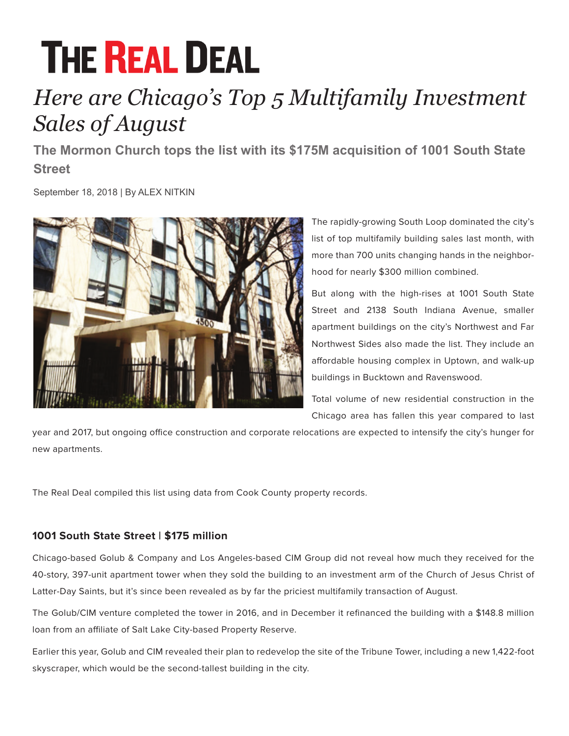# **THE REAL DEAL**

## *Here are Chicago's Top 5 Multifamily Investment Sales of August*

**The Mormon Church tops the list with its \$175M acquisition of 1001 South State Street**

September 18, 2018 | By ALEX NITKIN



The rapidly-growing South Loop dominated the city's list of top multifamily building sales last month, with more than 700 units changing hands in the neighborhood for nearly \$300 million combined.

But along with the high-rises at 1001 South State Street and 2138 South Indiana Avenue, smaller apartment buildings on the city's Northwest and Far Northwest Sides also made the list. They include an affordable housing complex in Uptown, and walk-up buildings in Bucktown and Ravenswood.

Total volume of new residential construction in the Chicago area has fallen this year compared to last

year and 2017, but ongoing office construction and corporate relocations are expected to intensify the city's hunger for new apartments.

The Real Deal compiled this list using data from Cook County property records.

### **1001 South State Street | \$175 million**

Chicago-based Golub & Company and Los Angeles-based CIM Group did not reveal how much they received for the 40-story, 397-unit apartment tower when they sold the building to an investment arm of the Church of Jesus Christ of Latter-Day Saints, but it's since been revealed as by far the priciest multifamily transaction of August.

The Golub/CIM venture completed the tower in 2016, and in December it refinanced the building with a \$148.8 million loan from an affiliate of Salt Lake City-based Property Reserve.

Earlier this year, Golub and CIM revealed their plan to redevelop the site of the Tribune Tower, including a new 1,422-foot skyscraper, which would be the second-tallest building in the city.